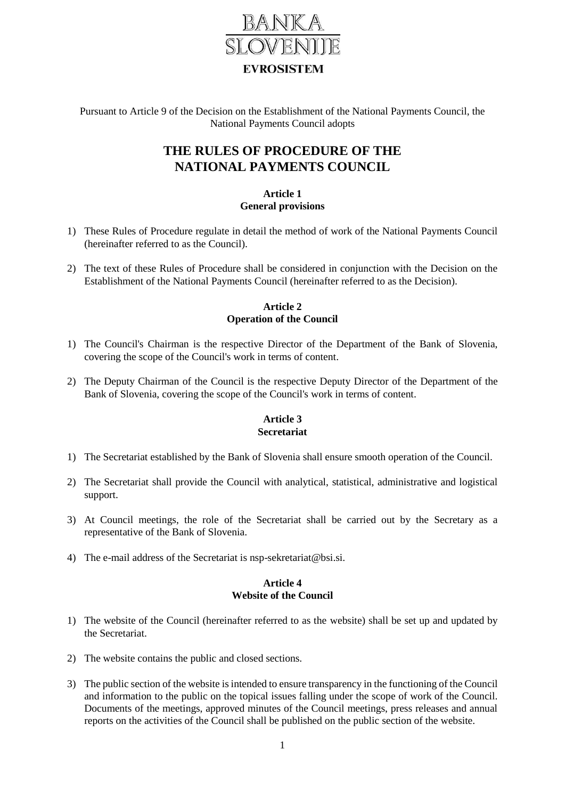

Pursuant to Article 9 of the Decision on the Establishment of the National Payments Council, the National Payments Council adopts

# **THE RULES OF PROCEDURE OF THE NATIONAL PAYMENTS COUNCIL**

### **Article 1 General provisions**

- 1) These Rules of Procedure regulate in detail the method of work of the National Payments Council (hereinafter referred to as the Council).
- 2) The text of these Rules of Procedure shall be considered in conjunction with the Decision on the Establishment of the National Payments Council (hereinafter referred to as the Decision).

# **Article 2 Operation of the Council**

- 1) The Council's Chairman is the respective Director of the Department of the Bank of Slovenia, covering the scope of the Council's work in terms of content.
- 2) The Deputy Chairman of the Council is the respective Deputy Director of the Department of the Bank of Slovenia, covering the scope of the Council's work in terms of content.

# **Article 3 Secretariat**

- 1) The Secretariat established by the Bank of Slovenia shall ensure smooth operation of the Council.
- 2) The Secretariat shall provide the Council with analytical, statistical, administrative and logistical support.
- 3) At Council meetings, the role of the Secretariat shall be carried out by the Secretary as a representative of the Bank of Slovenia.
- 4) The e-mail address of the Secretariat is nsp-sekretariat@bsi.si.

### **Article 4 Website of the Council**

- 1) The website of the Council (hereinafter referred to as the website) shall be set up and updated by the Secretariat.
- 2) The website contains the public and closed sections.
- 3) The public section of the website is intended to ensure transparency in the functioning of the Council and information to the public on the topical issues falling under the scope of work of the Council. Documents of the meetings, approved minutes of the Council meetings, press releases and annual reports on the activities of the Council shall be published on the public section of the website.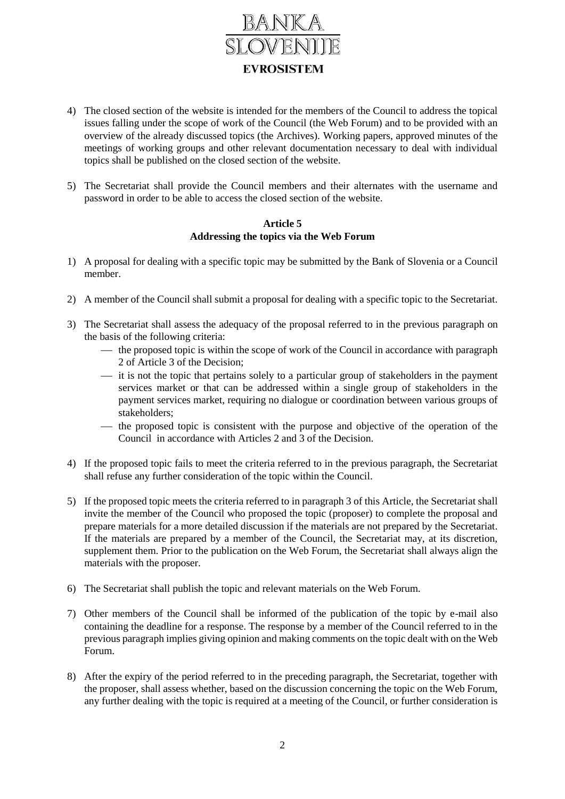

- 4) The closed section of the website is intended for the members of the Council to address the topical issues falling under the scope of work of the Council (the Web Forum) and to be provided with an overview of the already discussed topics (the Archives). Working papers, approved minutes of the meetings of working groups and other relevant documentation necessary to deal with individual topics shall be published on the closed section of the website.
- 5) The Secretariat shall provide the Council members and their alternates with the username and password in order to be able to access the closed section of the website.

### **Article 5 Addressing the topics via the Web Forum**

- 1) A proposal for dealing with a specific topic may be submitted by the Bank of Slovenia or a Council member.
- 2) A member of the Council shall submit a proposal for dealing with a specific topic to the Secretariat.
- 3) The Secretariat shall assess the adequacy of the proposal referred to in the previous paragraph on the basis of the following criteria:
	- $\frac{1}{1}$  the proposed topic is within the scope of work of the Council in accordance with paragraph 2 of Article 3 of the Decision;
	- $\frac{1}{1}$  it is not the topic that pertains solely to a particular group of stakeholders in the payment services market or that can be addressed within a single group of stakeholders in the payment services market, requiring no dialogue or coordination between various groups of stakeholders;
	- the proposed topic is consistent with the purpose and objective of the operation of the Council in accordance with Articles 2 and 3 of the Decision.
- 4) If the proposed topic fails to meet the criteria referred to in the previous paragraph, the Secretariat shall refuse any further consideration of the topic within the Council.
- 5) If the proposed topic meets the criteria referred to in paragraph 3 of this Article, the Secretariat shall invite the member of the Council who proposed the topic (proposer) to complete the proposal and prepare materials for a more detailed discussion if the materials are not prepared by the Secretariat. If the materials are prepared by a member of the Council, the Secretariat may, at its discretion, supplement them. Prior to the publication on the Web Forum, the Secretariat shall always align the materials with the proposer.
- 6) The Secretariat shall publish the topic and relevant materials on the Web Forum.
- 7) Other members of the Council shall be informed of the publication of the topic by e-mail also containing the deadline for a response. The response by a member of the Council referred to in the previous paragraph implies giving opinion and making comments on the topic dealt with on the Web Forum.
- 8) After the expiry of the period referred to in the preceding paragraph, the Secretariat, together with the proposer, shall assess whether, based on the discussion concerning the topic on the Web Forum, any further dealing with the topic is required at a meeting of the Council, or further consideration is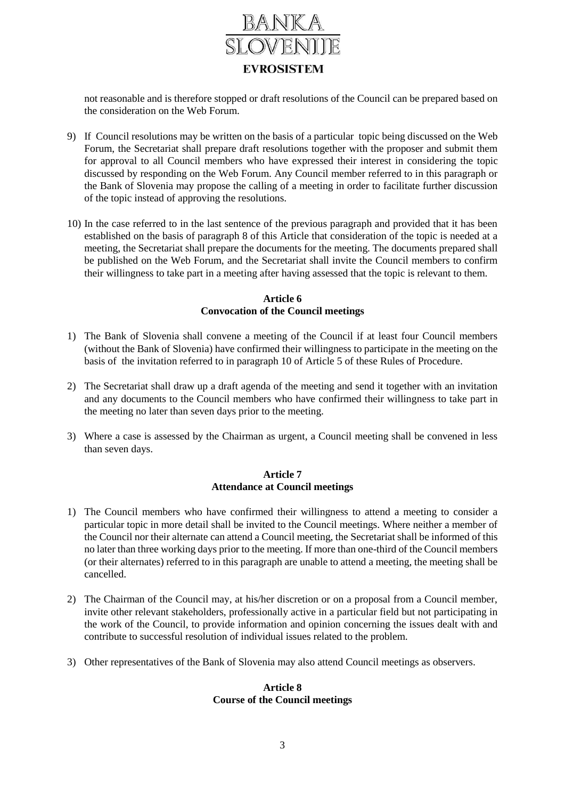

not reasonable and is therefore stopped or draft resolutions of the Council can be prepared based on the consideration on the Web Forum.

- 9) If Council resolutions may be written on the basis of a particular topic being discussed on the Web Forum, the Secretariat shall prepare draft resolutions together with the proposer and submit them for approval to all Council members who have expressed their interest in considering the topic discussed by responding on the Web Forum. Any Council member referred to in this paragraph or the Bank of Slovenia may propose the calling of a meeting in order to facilitate further discussion of the topic instead of approving the resolutions.
- 10) In the case referred to in the last sentence of the previous paragraph and provided that it has been established on the basis of paragraph 8 of this Article that consideration of the topic is needed at a meeting, the Secretariat shall prepare the documents for the meeting. The documents prepared shall be published on the Web Forum, and the Secretariat shall invite the Council members to confirm their willingness to take part in a meeting after having assessed that the topic is relevant to them.

#### **Article 6 Convocation of the Council meetings**

- 1) The Bank of Slovenia shall convene a meeting of the Council if at least four Council members (without the Bank of Slovenia) have confirmed their willingness to participate in the meeting on the basis of the invitation referred to in paragraph 10 of Article 5 of these Rules of Procedure.
- 2) The Secretariat shall draw up a draft agenda of the meeting and send it together with an invitation and any documents to the Council members who have confirmed their willingness to take part in the meeting no later than seven days prior to the meeting.
- 3) Where a case is assessed by the Chairman as urgent, a Council meeting shall be convened in less than seven days.

### **Article 7 Attendance at Council meetings**

- 1) The Council members who have confirmed their willingness to attend a meeting to consider a particular topic in more detail shall be invited to the Council meetings. Where neither a member of the Council nor their alternate can attend a Council meeting, the Secretariat shall be informed of this no later than three working days prior to the meeting. If more than one-third of the Council members (or their alternates) referred to in this paragraph are unable to attend a meeting, the meeting shall be cancelled.
- 2) The Chairman of the Council may, at his/her discretion or on a proposal from a Council member, invite other relevant stakeholders, professionally active in a particular field but not participating in the work of the Council, to provide information and opinion concerning the issues dealt with and contribute to successful resolution of individual issues related to the problem.
- 3) Other representatives of the Bank of Slovenia may also attend Council meetings as observers.

### **Article 8 Course of the Council meetings**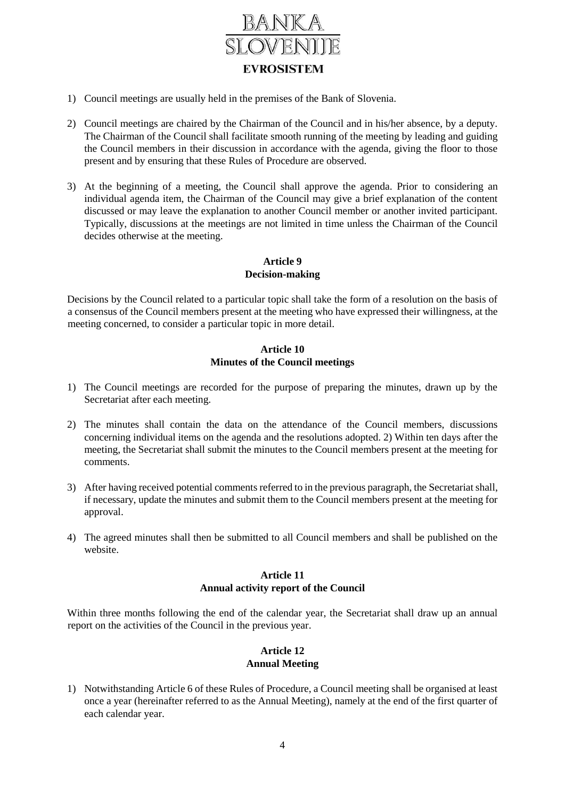

- 1) Council meetings are usually held in the premises of the Bank of Slovenia.
- 2) Council meetings are chaired by the Chairman of the Council and in his/her absence, by a deputy. The Chairman of the Council shall facilitate smooth running of the meeting by leading and guiding the Council members in their discussion in accordance with the agenda, giving the floor to those present and by ensuring that these Rules of Procedure are observed.
- 3) At the beginning of a meeting, the Council shall approve the agenda. Prior to considering an individual agenda item, the Chairman of the Council may give a brief explanation of the content discussed or may leave the explanation to another Council member or another invited participant. Typically, discussions at the meetings are not limited in time unless the Chairman of the Council decides otherwise at the meeting.

# **Article 9 Decision-making**

Decisions by the Council related to a particular topic shall take the form of a resolution on the basis of a consensus of the Council members present at the meeting who have expressed their willingness, at the meeting concerned, to consider a particular topic in more detail.

# **Article 10 Minutes of the Council meetings**

- 1) The Council meetings are recorded for the purpose of preparing the minutes, drawn up by the Secretariat after each meeting.
- 2) The minutes shall contain the data on the attendance of the Council members, discussions concerning individual items on the agenda and the resolutions adopted. 2) Within ten days after the meeting, the Secretariat shall submit the minutes to the Council members present at the meeting for comments.
- 3) After having received potential comments referred to in the previous paragraph, the Secretariat shall, if necessary, update the minutes and submit them to the Council members present at the meeting for approval.
- 4) The agreed minutes shall then be submitted to all Council members and shall be published on the website.

## **Article 11 Annual activity report of the Council**

Within three months following the end of the calendar year, the Secretariat shall draw up an annual report on the activities of the Council in the previous year.

# **Article 12 Annual Meeting**

1) Notwithstanding Article 6 of these Rules of Procedure, a Council meeting shall be organised at least once a year (hereinafter referred to as the Annual Meeting), namely at the end of the first quarter of each calendar year.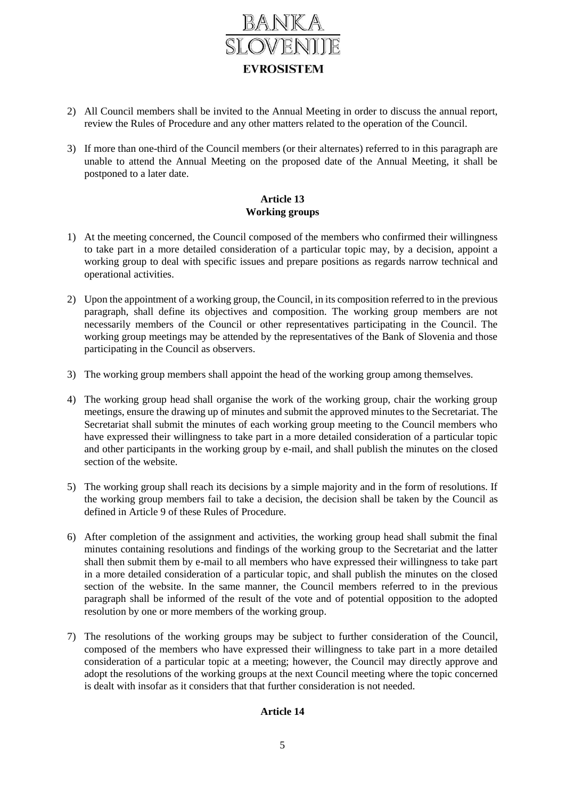

- 2) All Council members shall be invited to the Annual Meeting in order to discuss the annual report, review the Rules of Procedure and any other matters related to the operation of the Council.
- 3) If more than one-third of the Council members (or their alternates) referred to in this paragraph are unable to attend the Annual Meeting on the proposed date of the Annual Meeting, it shall be postponed to a later date.

# **Article 13 Working groups**

- 1) At the meeting concerned, the Council composed of the members who confirmed their willingness to take part in a more detailed consideration of a particular topic may, by a decision, appoint a working group to deal with specific issues and prepare positions as regards narrow technical and operational activities.
- 2) Upon the appointment of a working group, the Council, in its composition referred to in the previous paragraph, shall define its objectives and composition. The working group members are not necessarily members of the Council or other representatives participating in the Council. The working group meetings may be attended by the representatives of the Bank of Slovenia and those participating in the Council as observers.
- 3) The working group members shall appoint the head of the working group among themselves.
- 4) The working group head shall organise the work of the working group, chair the working group meetings, ensure the drawing up of minutes and submit the approved minutes to the Secretariat. The Secretariat shall submit the minutes of each working group meeting to the Council members who have expressed their willingness to take part in a more detailed consideration of a particular topic and other participants in the working group by e-mail, and shall publish the minutes on the closed section of the website.
- 5) The working group shall reach its decisions by a simple majority and in the form of resolutions. If the working group members fail to take a decision, the decision shall be taken by the Council as defined in Article 9 of these Rules of Procedure.
- 6) After completion of the assignment and activities, the working group head shall submit the final minutes containing resolutions and findings of the working group to the Secretariat and the latter shall then submit them by e-mail to all members who have expressed their willingness to take part in a more detailed consideration of a particular topic, and shall publish the minutes on the closed section of the website. In the same manner, the Council members referred to in the previous paragraph shall be informed of the result of the vote and of potential opposition to the adopted resolution by one or more members of the working group.
- 7) The resolutions of the working groups may be subject to further consideration of the Council, composed of the members who have expressed their willingness to take part in a more detailed consideration of a particular topic at a meeting; however, the Council may directly approve and adopt the resolutions of the working groups at the next Council meeting where the topic concerned is dealt with insofar as it considers that that further consideration is not needed.

# **Article 14**